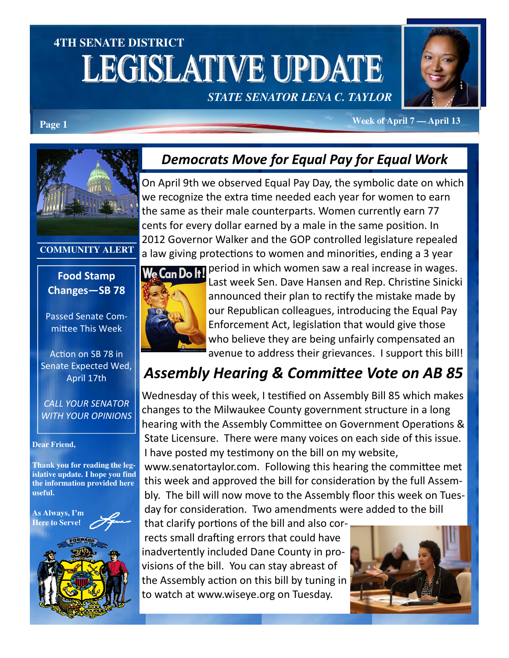# **4TH SENATE DISTRICT LEGISLATIVE UPDATE** *STATE SENATOR LENA C. TAYLOR*



**Week of April 7 — April 13 Page 1** 

### Democrats Move for Equal Pay for Equal Work

On April 9th we observed Equal Pay Day, the symbolic date on which we recognize the extra time needed each year for women to earn the same as their male counterparts. Women currently earn 77 cents for every dollar earned by a male in the same position. In 2012 Governor Walker and the GOP controlled legislature repealed a law giving protections to women and minorities, ending a 3 year



Passed Senate Committee This Week

**COMMUNITY ALERT** 

Action on SB 78 in Senate Expected Wed, April 17th

CALL YOUR SENATOR WITH YOUR OPINIONS

#### **Dear Friend,**

**Thank you for reading the legislative update. I hope you find the information provided here useful.** 

**As Always, I'm Here to Serve**!



We Can Dolt!

period in which women saw a real increase in wages. Last week Sen. Dave Hansen and Rep. Christine Sinicki announced their plan to rectify the mistake made by our Republican colleagues, introducing the Equal Pay Enforcement Act, legislation that would give those who believe they are being unfairly compensated an avenue to address their grievances. I support this bill!

## Assembly Hearing & Committee Vote on AB 85

Wednesday of this week, I testified on Assembly Bill 85 which makes changes to the Milwaukee County government structure in a long hearing with the Assembly Committee on Government Operations & State Licensure. There were many voices on each side of this issue. I have posted my testimony on the bill on my website,

www.senatortaylor.com. Following this hearing the committee met this week and approved the bill for consideration by the full Assembly. The bill will now move to the Assembly floor this week on Tuesday for consideration. Two amendments were added to the bill

that clarify portions of the bill and also corrects small drafting errors that could have inadvertently included Dane County in provisions of the bill. You can stay abreast of the Assembly action on this bill by tuning in to watch at www.wiseye.org on Tuesday.